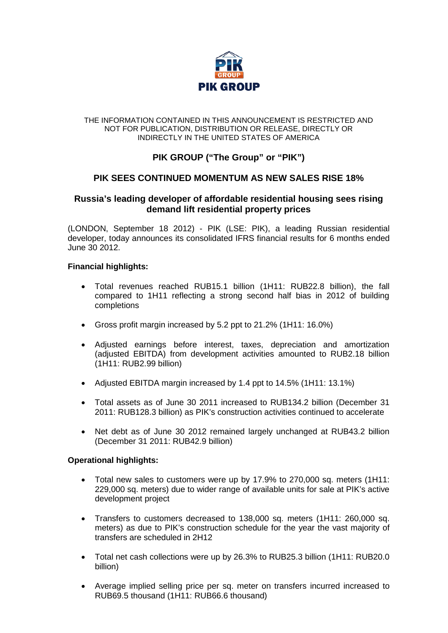

#### THE INFORMATION CONTAINED IN THIS ANNOUNCEMENT IS RESTRICTED AND NOT FOR PUBLICATION, DISTRIBUTION OR RELEASE, DIRECTLY OR INDIRECTLY IN THE UNITED STATES OF AMERICA

# **PIK GROUP ("The Group" or "PIK")**

## **PIK SEES CONTINUED MOMENTUM AS NEW SALES RISE 18%**

## **Russia's leading developer of affordable residential housing sees rising demand lift residential property prices**

(LONDON, September 18 2012) - PIK (LSE: PIK), a leading Russian residential developer, today announces its consolidated IFRS financial results for 6 months ended June 30 2012.

### **Financial highlights:**

- Total revenues reached RUB15.1 billion (1H11: RUB22.8 billion), the fall compared to 1H11 reflecting a strong second half bias in 2012 of building completions
- Gross profit margin increased by 5.2 ppt to 21.2% (1H11: 16.0%)
- Adjusted earnings before interest, taxes, depreciation and amortization (adjusted EBITDA) from development activities amounted to RUB2.18 billion (1H11: RUB2.99 billion)
- Adjusted EBITDA margin increased by 1.4 ppt to 14.5% (1H11: 13.1%)
- Total assets as of June 30 2011 increased to RUB134.2 billion (December 31 2011: RUB128.3 billion) as PIK's construction activities continued to accelerate
- Net debt as of June 30 2012 remained largely unchanged at RUB43.2 billion (December 31 2011: RUB42.9 billion)

### **Operational highlights:**

- Total new sales to customers were up by 17.9% to 270,000 sq. meters (1H11: 229,000 sq. meters) due to wider range of available units for sale at PIK's active development project
- Transfers to customers decreased to 138,000 sq. meters (1H11: 260,000 sq. meters) as due to PIK's construction schedule for the year the vast majority of transfers are scheduled in 2H12
- Total net cash collections were up by 26.3% to RUB25.3 billion (1H11: RUB20.0 billion)
- Average implied selling price per sq. meter on transfers incurred increased to RUB69.5 thousand (1H11: RUB66.6 thousand)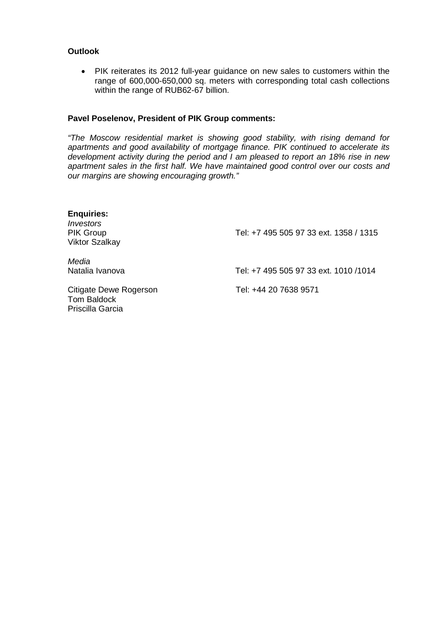### **Outlook**

• PIK reiterates its 2012 full-year guidance on new sales to customers within the range of 600,000-650,000 sq. meters with corresponding total cash collections within the range of RUB62-67 billion.

#### **Pavel Poselenov, President of PIK Group comments:**

*"The Moscow residential market is showing good stability, with rising demand for apartments and good availability of mortgage finance. PIK continued to accelerate its development activity during the period and I am pleased to report an 18% rise in new apartment sales in the first half. We have maintained good control over our costs and our margins are showing encouraging growth."*

| <b>Enquiries:</b><br>Investors<br><b>PIK Group</b><br><b>Viktor Szalkay</b> | Tel: +7 495 505 97 33 ext. 1358 / 1315 |
|-----------------------------------------------------------------------------|----------------------------------------|
| Media<br>Natalia Ivanova                                                    | Tel: +7 495 505 97 33 ext. 1010 /1014  |
| Citigate Dewe Rogerson<br>Tom Baldock<br>Priscilla Garcia                   | Tel: +44 20 7638 9571                  |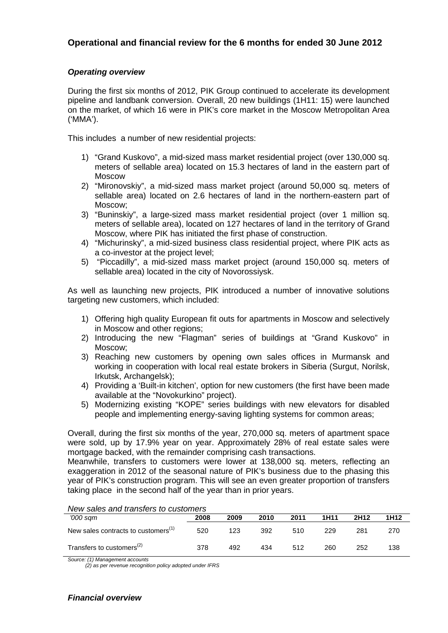## **Operational and financial review for the 6 months for ended 30 June 2012**

## *Operating overview*

During the first six months of 2012, PIK Group continued to accelerate its development pipeline and landbank conversion. Overall, 20 new buildings (1H11: 15) were launched on the market, of which 16 were in PIK's core market in the Moscow Metropolitan Area ('MMA').

This includes a number of new residential projects:

- 1) "Grand Kuskovo", a mid-sized mass market residential project (over 130,000 sq. meters of sellable area) located on 15.3 hectares of land in the eastern part of Moscow
- 2) "Mironovskiy", a mid-sized mass market project (around 50,000 sq. meters of sellable area) located on 2.6 hectares of land in the northern-eastern part of Moscow;
- 3) "Buninskiy", a large-sized mass market residential project (over 1 million sq. meters of sellable area), located on 127 hectares of land in the territory of Grand Moscow, where PIK has initiated the first phase of construction.
- 4) "Michurinsky", a mid-sized business class residential project, where PIK acts as a co-investor at the project level;
- 5) "Piccadilly", a mid-sized mass market project (around 150,000 sq. meters of sellable area) located in the city of Novorossiysk.

As well as launching new projects, PIK introduced a number of innovative solutions targeting new customers, which included:

- 1) Offering high quality European fit outs for apartments in Moscow and selectively in Moscow and other regions;
- 2) Introducing the new "Flagman" series of buildings at "Grand Kuskovo" in Moscow;
- 3) Reaching new customers by opening own sales offices in Murmansk and working in cooperation with local real estate brokers in Siberia (Surgut, Norilsk, Irkutsk, Archangelsk);
- 4) Providing a 'Built-in kitchen', option for new customers (the first have been made available at the "Novokurkino" project).
- 5) Modernizing existing "KOPE" series buildings with new elevators for disabled people and implementing energy-saving lighting systems for common areas;

Overall, during the first six months of the year, 270,000 sq. meters of apartment space were sold, up by 17.9% year on year. Approximately 28% of real estate sales were mortgage backed, with the remainder comprising cash transactions.

Meanwhile, transfers to customers were lower at 138,000 sq. meters, reflecting an exaggeration in 2012 of the seasonal nature of PIK's business due to the phasing this year of PIK's construction program. This will see an even greater proportion of transfers taking place in the second half of the year than in prior years.

#### *New sales and transfers to customers*

| '000 sam                                           | 2008 | 2009 | 2010 | 2011 | 1H11 | 2H12 | 1H12 |
|----------------------------------------------------|------|------|------|------|------|------|------|
| New sales contracts to customers <sup>(1)</sup>    | 520  | 123  | 392  | 510  | 229  | 281  | 270  |
| Transfers to customers <sup><math>(2)</math></sup> | 378  | 492  | 434  | 512  | 260  | 252  | 138  |

*Source: (1) Management accounts* 

 *(2) as per revenue recognition policy adopted under IFRS*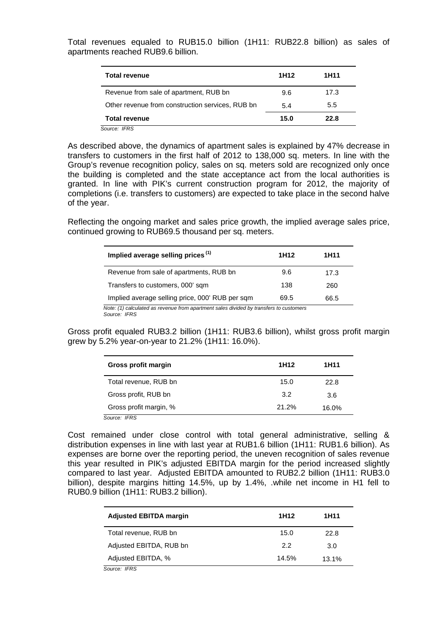Total revenues equaled to RUB15.0 billion (1H11: RUB22.8 billion) as sales of apartments reached RUB9.6 billion.

| <b>Total revenue</b>                             | 1H12 | 1H11 |
|--------------------------------------------------|------|------|
| Revenue from sale of apartment, RUB bn           | 9.6  | 17.3 |
| Other revenue from construction services, RUB bn | 5.4  | 5.5  |
| <b>Total revenue</b>                             | 15.0 | 22.8 |
| Source: IFRS                                     |      |      |

As described above, the dynamics of apartment sales is explained by 47% decrease in transfers to customers in the first half of 2012 to 138,000 sq. meters. In line with the Group's revenue recognition policy, sales on sq. meters sold are recognized only once the building is completed and the state acceptance act from the local authorities is granted. In line with PIK's current construction program for 2012, the majority of completions (i.e. transfers to customers) are expected to take place in the second halve of the year.

Reflecting the ongoing market and sales price growth, the implied average sales price, continued growing to RUB69.5 thousand per sq. meters.

| Implied average selling prices <sup>(1)</sup>   | 1H <sub>12</sub> | 1H11 |
|-------------------------------------------------|------------------|------|
| Revenue from sale of apartments, RUB bn         | 9.6              | 17.3 |
| Transfers to customers, 000' sqm.               | 138              | 260  |
| Implied average selling price, 000' RUB per sqm | 69.5             | 66.5 |

Gross profit equaled RUB3.2 billion (1H11: RUB3.6 billion), whilst gross profit margin grew by 5.2% year-on-year to 21.2% (1H11: 16.0%).

| Gross profit margin    | 1H <sub>12</sub> | 1H11  |
|------------------------|------------------|-------|
| Total revenue, RUB bn  | 15.0             | 22.8  |
| Gross profit, RUB bn   | 3.2              | 3.6   |
| Gross profit margin, % | 21.2%            | 16.0% |

Cost remained under close control with total general administrative, selling & distribution expenses in line with last year at RUB1.6 billion (1H11: RUB1.6 billion). As expenses are borne over the reporting period, the uneven recognition of sales revenue this year resulted in PIK's adjusted EBITDA margin for the period increased slightly compared to last year. Adjusted EBITDA amounted to RUB2.2 billion (1H11: RUB3.0 billion), despite margins hitting 14.5%, up by 1.4%, .while net income in H1 fell to RUB0.9 billion (1H11: RUB3.2 billion).

| <b>Adjusted EBITDA margin</b> | 1H <sub>12</sub> | 1H11  |
|-------------------------------|------------------|-------|
| Total revenue, RUB bn         | 15.0             | 22.8  |
| Adjusted EBITDA, RUB bn       | 22               | 3.0   |
| Adjusted EBITDA, %            | 14.5%            | 13.1% |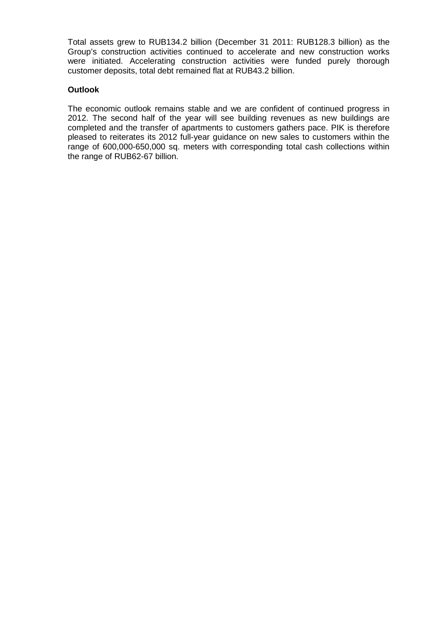Total assets grew to RUB134.2 billion (December 31 2011: RUB128.3 billion) as the Group's construction activities continued to accelerate and new construction works were initiated. Accelerating construction activities were funded purely thorough customer deposits, total debt remained flat at RUB43.2 billion.

### **Outlook**

The economic outlook remains stable and we are confident of continued progress in 2012. The second half of the year will see building revenues as new buildings are completed and the transfer of apartments to customers gathers pace. PIK is therefore pleased to reiterates its 2012 full-year guidance on new sales to customers within the range of 600,000-650,000 sq. meters with corresponding total cash collections within the range of RUB62-67 billion.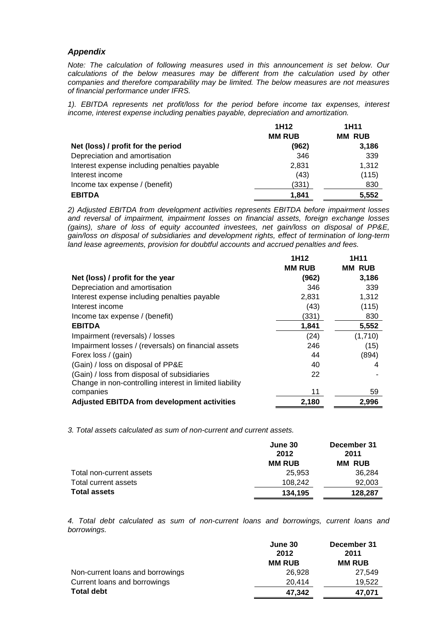#### *Appendix*

*Note: The calculation of following measures used in this announcement is set below. Our calculations of the below measures may be different from the calculation used by other companies and therefore comparability may be limited. The below measures are not measures of financial performance under IFRS.* 

*1). EBITDA represents net profit/loss for the period before income tax expenses, interest income, interest expense including penalties payable, depreciation and amortization.*

|                                              | 1H <sub>12</sub> | 1H <sub>11</sub> |
|----------------------------------------------|------------------|------------------|
|                                              | <b>MM RUB</b>    | <b>MM RUB</b>    |
| Net (loss) / profit for the period           | (962)            | 3,186            |
| Depreciation and amortisation                | 346              | 339              |
| Interest expense including penalties payable | 2,831            | 1,312            |
| Interest income                              | (43)             | (115)            |
| Income tax expense / (benefit)               | (331)            | 830              |
| <b>EBITDA</b>                                | 1.841            | 5,552            |

*2) Adjusted EBITDA from development activities represents EBITDA before impairment losses and reversal of impairment, impairment losses on financial assets, foreign exchange losses (gains), share of loss of equity accounted investees, net gain/loss on disposal of PP&E, gain/loss on disposal of subsidiaries and development rights, effect of termination of long-term land lease agreements, provision for doubtful accounts and accrued penalties and fees.*

|                                                         | 1H <sub>12</sub> | <b>1H11</b>   |
|---------------------------------------------------------|------------------|---------------|
|                                                         | <b>MM RUB</b>    | <b>MM RUB</b> |
| Net (loss) / profit for the year                        | (962)            | 3,186         |
| Depreciation and amortisation                           | 346              | 339           |
| Interest expense including penalties payable            | 2,831            | 1,312         |
| Interest income                                         | (43)             | (115)         |
| Income tax expense / (benefit)                          | (331)            | 830           |
| <b>EBITDA</b>                                           | 1,841            | 5,552         |
| Impairment (reversals) / losses                         | (24)             | (1,710)       |
| Impairment losses / (reversals) on financial assets     | 246              | (15)          |
| Forex loss / (gain)                                     | 44               | (894)         |
| (Gain) / loss on disposal of PP&E                       | 40               | 4             |
| (Gain) / loss from disposal of subsidiaries             | 22               |               |
| Change in non-controlling interest in limited liability |                  |               |
| companies                                               | 11               | 59            |
| <b>Adjusted EBITDA from development activities</b>      | 2,180            | 2,996         |

*3. Total assets calculated as sum of non-current and current assets.*

|                          | June 30<br>2012 | December 31<br>2011 |
|--------------------------|-----------------|---------------------|
|                          | <b>MM RUB</b>   | <b>MM RUB</b>       |
| Total non-current assets | 25.953          | 36,284              |
| Total current assets     | 108.242         | 92,003              |
| <b>Total assets</b>      | 134.195         | 128,287             |

*4. Total debt calculated as sum of non-current loans and borrowings, current loans and borrowings.*

|                                  | June 30       | December 31   |
|----------------------------------|---------------|---------------|
|                                  | 2012          | 2011          |
|                                  | <b>MM RUB</b> | <b>MM RUB</b> |
| Non-current loans and borrowings | 26.928        | 27.549        |
| Current loans and borrowings     | 20.414        | 19,522        |
| <b>Total debt</b>                | 47,342        | 47,071        |